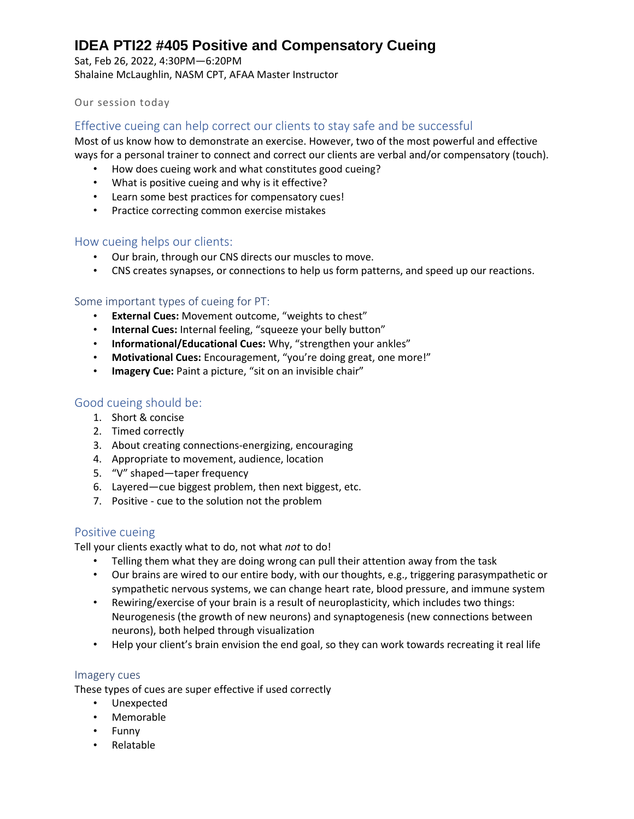Sat, Feb 26, 2022, 4:30PM—6:20PM Shalaine McLaughlin, NASM CPT, AFAA Master Instructor

## Our session today

## Effective cueing can help correct our clients to stay safe and be successful

Most of us know how to demonstrate an exercise. However, two of the most powerful and effective ways for a personal trainer to connect and correct our clients are verbal and/or compensatory (touch).

- How does cueing work and what constitutes good cueing?
- What is positive cueing and why is it effective?
- Learn some best practices for compensatory cues!
- Practice correcting common exercise mistakes

#### How cueing helps our clients:

- Our brain, through our CNS directs our muscles to move.
- CNS creates synapses, or connections to help us form patterns, and speed up our reactions.

## Some important types of cueing for PT:

- **External Cues:** Movement outcome, "weights to chest"
- **Internal Cues:** Internal feeling, "squeeze your belly button"
- **Informational/Educational Cues:** Why, "strengthen your ankles"
- **Motivational Cues:** Encouragement, "you're doing great, one more!"
- **Imagery Cue:** Paint a picture, "sit on an invisible chair"

# Good cueing should be:

- 1. Short & concise
- 2. Timed correctly
- 3. About creating connections-energizing, encouraging
- 4. Appropriate to movement, audience, location
- 5. "V" shaped—taper frequency
- 6. Layered—cue biggest problem, then next biggest, etc.
- 7. Positive cue to the solution not the problem

## Positive cueing

Tell your clients exactly what to do, not what *not* to do!

- Telling them what they are doing wrong can pull their attention away from the task
- Our brains are wired to our entire body, with our thoughts, e.g., triggering parasympathetic or sympathetic nervous systems, we can change heart rate, blood pressure, and immune system
- Rewiring/exercise of your brain is a result of neuroplasticity, which includes two things: Neurogenesis (the growth of new neurons) and synaptogenesis (new connections between neurons), both helped through visualization
- Help your client's brain envision the end goal, so they can work towards recreating it real life

#### Imagery cues

These types of cues are super effective if used correctly

- Unexpected
- Memorable
- Funny
- Relatable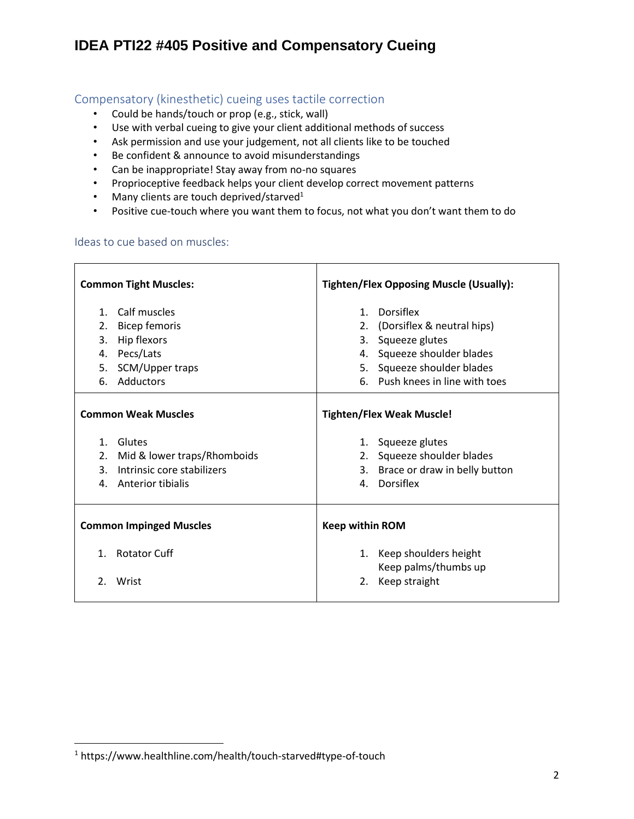# Compensatory (kinesthetic) cueing uses tactile correction

- Could be hands/touch or prop (e.g., stick, wall)
- Use with verbal cueing to give your client additional methods of success
- Ask permission and use your judgement, not all clients like to be touched
- Be confident & announce to avoid misunderstandings
- Can be inappropriate! Stay away from no-no squares
- Proprioceptive feedback helps your client develop correct movement patterns
- Many clients are touch deprived/starved<sup>1</sup>
- Positive cue-touch where you want them to focus, not what you don't want them to do

#### Ideas to cue based on muscles:

| <b>Common Tight Muscles:</b>                                                                                            | <b>Tighten/Flex Opposing Muscle (Usually):</b>                                                      |  |  |
|-------------------------------------------------------------------------------------------------------------------------|-----------------------------------------------------------------------------------------------------|--|--|
| Calf muscles<br>$1_{-}$<br><b>Bicep femoris</b><br>2.                                                                   | 1. Dorsiflex<br>2. (Dorsiflex & neutral hips)                                                       |  |  |
| 3.<br>Hip flexors<br>Pecs/Lats<br>4.                                                                                    | 3. Squeeze glutes<br>4. Squeeze shoulder blades                                                     |  |  |
| 5. SCM/Upper traps<br>Adductors<br>6.                                                                                   | 5. Squeeze shoulder blades<br>6. Push knees in line with toes                                       |  |  |
| <b>Common Weak Muscles</b>                                                                                              | <b>Tighten/Flex Weak Muscle!</b>                                                                    |  |  |
| 1. Glutes<br>2.<br>Mid & lower traps/Rhomboids<br>Intrinsic core stabilizers<br>$\mathbf{3}$<br>Anterior tibialis<br>4. | 1. Squeeze glutes<br>2. Squeeze shoulder blades<br>3. Brace or draw in belly button<br>4. Dorsiflex |  |  |
| <b>Common Impinged Muscles</b>                                                                                          | <b>Keep within ROM</b>                                                                              |  |  |
| <b>Rotator Cuff</b><br>$\mathbf{1}$ .                                                                                   | 1. Keep shoulders height<br>Keep palms/thumbs up                                                    |  |  |
| $\mathfrak{D}_{\mathfrak{p}}$<br>Wrist                                                                                  | Keep straight<br>2.                                                                                 |  |  |

<sup>1</sup> https://www.healthline.com/health/touch-starved#type-of-touch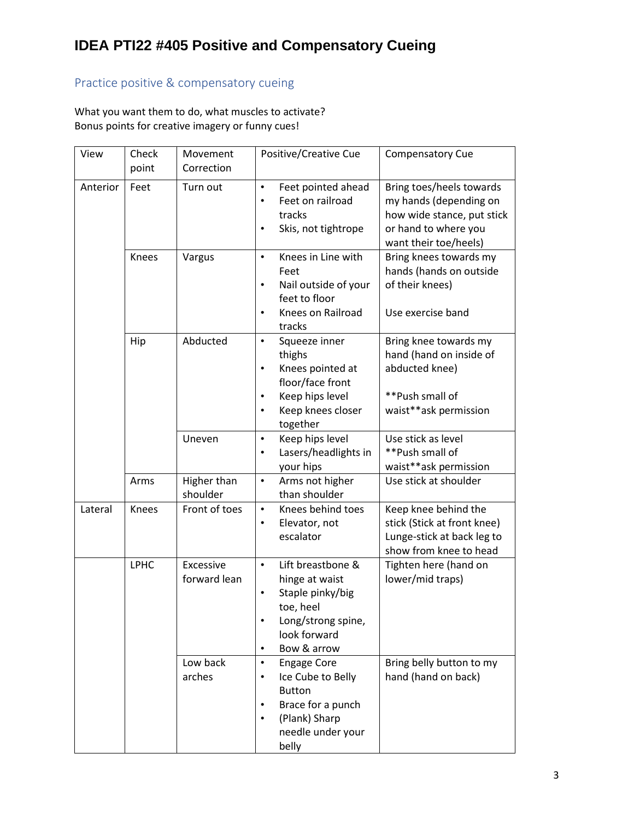# Practice positive & compensatory cueing

What you want them to do, what muscles to activate? Bonus points for creative imagery or funny cues!

| View     | Check<br>point | Movement<br>Correction    | Positive/Creative Cue                                                                                                                                                   | <b>Compensatory Cue</b>                                                                                                           |
|----------|----------------|---------------------------|-------------------------------------------------------------------------------------------------------------------------------------------------------------------------|-----------------------------------------------------------------------------------------------------------------------------------|
| Anterior | Feet           | Turn out                  | Feet pointed ahead<br>$\bullet$<br>Feet on railroad<br>$\bullet$<br>tracks<br>Skis, not tightrope<br>$\bullet$                                                          | Bring toes/heels towards<br>my hands (depending on<br>how wide stance, put stick<br>or hand to where you<br>want their toe/heels) |
|          | Knees          | Vargus                    | Knees in Line with<br>$\bullet$<br>Feet<br>Nail outside of your<br>$\bullet$<br>feet to floor<br>Knees on Railroad<br>$\bullet$<br>tracks                               | Bring knees towards my<br>hands (hands on outside<br>of their knees)<br>Use exercise band                                         |
|          | Hip            | Abducted                  | $\bullet$<br>Squeeze inner<br>thighs<br>Knees pointed at<br>$\bullet$<br>floor/face front<br>Keep hips level<br>$\bullet$<br>Keep knees closer<br>$\bullet$<br>together | Bring knee towards my<br>hand (hand on inside of<br>abducted knee)<br>**Push small of<br>waist**ask permission                    |
|          |                | Uneven                    | Keep hips level<br>$\bullet$<br>Lasers/headlights in<br>your hips                                                                                                       | Use stick as level<br>**Push small of<br>waist**ask permission                                                                    |
|          | Arms           | Higher than<br>shoulder   | Arms not higher<br>$\bullet$<br>than shoulder                                                                                                                           | Use stick at shoulder                                                                                                             |
| Lateral  | Knees          | Front of toes             | Knees behind toes<br>$\bullet$<br>Elevator, not<br>$\bullet$<br>escalator                                                                                               | Keep knee behind the<br>stick (Stick at front knee)<br>Lunge-stick at back leg to<br>show from knee to head                       |
|          | <b>LPHC</b>    | Excessive<br>forward lean | Lift breastbone &<br>$\bullet$<br>hinge at waist<br>Staple pinky/big<br>$\bullet$<br>toe, heel<br>Long/strong spine,<br>look forward<br>Bow & arrow<br>$\bullet$        | Tighten here (hand on<br>lower/mid traps)                                                                                         |
|          |                | Low back<br>arches        | $\bullet$<br><b>Engage Core</b><br>Ice Cube to Belly<br>$\bullet$<br><b>Button</b><br>Brace for a punch<br>(Plank) Sharp<br>needle under your<br>belly                  | Bring belly button to my<br>hand (hand on back)                                                                                   |